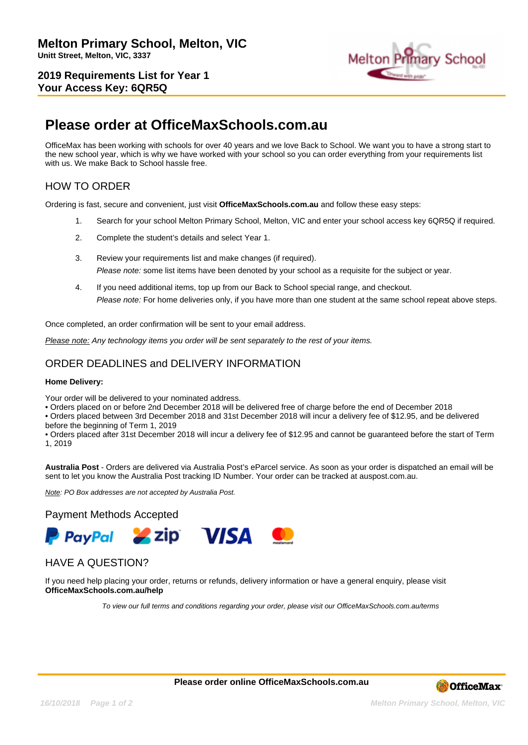**2019 Requirements List for Year 1 Your Access Key: 6QR5Q**



## **Please order at OfficeMaxSchools.com.au**

OfficeMax has been working with schools for over 40 years and we love Back to School. We want you to have a strong start to the new school year, which is why we have worked with your school so you can order everything from your requirements list with us. We make Back to School hassle free.

## HOW TO ORDER

Ordering is fast, secure and convenient, just visit **OfficeMaxSchools.com.au** and follow these easy steps:

- 1. Search for your school Melton Primary School, Melton, VIC and enter your school access key 6QR5Q if required.
- 2. Complete the student's details and select Year 1.
- 3. Review your requirements list and make changes (if required). Please note: some list items have been denoted by your school as a requisite for the subject or year.
- 4. If you need additional items, top up from our Back to School special range, and checkout. Please note: For home deliveries only, if you have more than one student at the same school repeat above steps.

Once completed, an order confirmation will be sent to your email address.

Please note: Any technology items you order will be sent separately to the rest of your items.

## ORDER DEADLINES and DELIVERY INFORMATION

#### **Home Delivery:**

Your order will be delivered to your nominated address.

• Orders placed on or before 2nd December 2018 will be delivered free of charge before the end of December 2018

• Orders placed between 3rd December 2018 and 31st December 2018 will incur a delivery fee of \$12.95, and be delivered before the beginning of Term 1, 2019

• Orders placed after 31st December 2018 will incur a delivery fee of \$12.95 and cannot be guaranteed before the start of Term 1, 2019

**Australia Post** - Orders are delivered via Australia Post's eParcel service. As soon as your order is dispatched an email will be sent to let you know the Australia Post tracking ID Number. Your order can be tracked at auspost.com.au.

Note: PO Box addresses are not accepted by Australia Post.

#### Payment Methods Accepted



### HAVE A QUESTION?

If you need help placing your order, returns or refunds, delivery information or have a general enquiry, please visit **OfficeMaxSchools.com.au/help**

To view our full terms and conditions regarding your order, please visit our OfficeMaxSchools.com.au/terms

**Please order online OfficeMaxSchools.com.au**